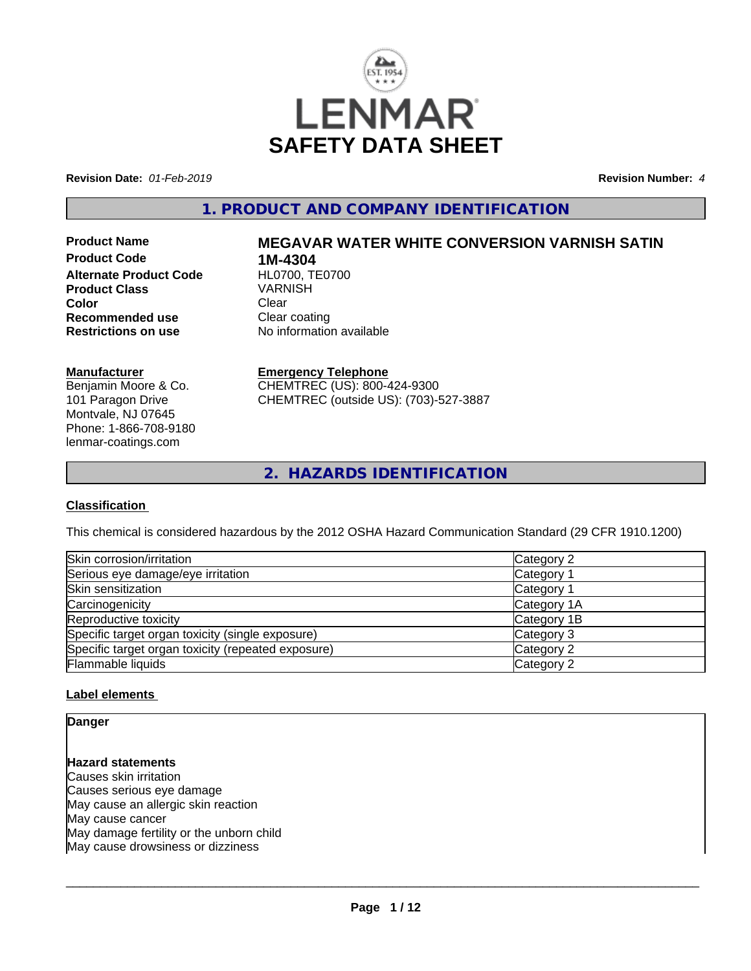

**Revision Date:** *01-Feb-2019* **Revision Number:** *4*

## **1. PRODUCT AND COMPANY IDENTIFICATION**

**Product Code 1M-4304<br>Alternate Product Code HL0700, TE0700 Alternate Product Code Product Class** VARNISH **Color** Clear Clear **Recommended use Clear coating<br>
<b>Restrictions on use** No information

# **Product Name MEGAVAR WATER WHITE CONVERSION VARNISH SATIN**

**No information available** 

#### **Manufacturer**

Benjamin Moore & Co. 101 Paragon Drive Montvale, NJ 07645 Phone: 1-866-708-9180 lenmar-coatings.com

## **Emergency Telephone**

CHEMTREC (US): 800-424-9300 CHEMTREC (outside US): (703)-527-3887

**2. HAZARDS IDENTIFICATION**

#### **Classification**

This chemical is considered hazardous by the 2012 OSHA Hazard Communication Standard (29 CFR 1910.1200)

| Skin corrosion/irritation                          | Category 2  |
|----------------------------------------------------|-------------|
| Serious eye damage/eye irritation                  | Category 1  |
| Skin sensitization                                 | Category 1  |
| Carcinogenicity                                    | Category 1A |
| Reproductive toxicity                              | Category 1B |
| Specific target organ toxicity (single exposure)   | Category 3  |
| Specific target organ toxicity (repeated exposure) | Category 2  |
| Flammable liquids                                  | Category 2  |

### **Label elements**

**Danger**

## **Hazard statements**

Causes skin irritation Causes serious eye damage May cause an allergic skin reaction May cause cancer May damage fertility or the unborn child May cause drowsiness or dizziness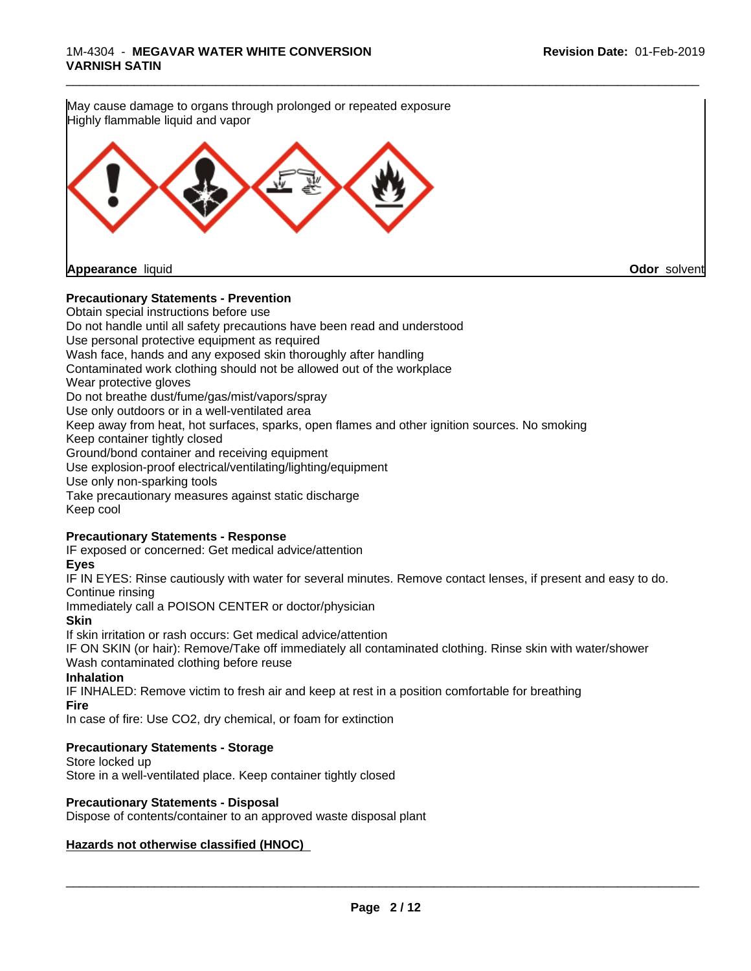

#### **Precautionary Statements - Prevention**

Obtain special instructions before use Do not handle until all safety precautions have been read and understood Use personal protective equipment as required Wash face, hands and any exposed skin thoroughly after handling Contaminated work clothing should not be allowed out of the workplace Wear protective gloves Do not breathe dust/fume/gas/mist/vapors/spray Use only outdoors or in a well-ventilated area Keep away from heat, hot surfaces, sparks, open flames and other ignition sources. No smoking Keep container tightly closed Ground/bond container and receiving equipment Use explosion-proof electrical/ventilating/lighting/equipment Use only non-sparking tools Take precautionary measures against static discharge Keep cool

#### **Precautionary Statements - Response**

IF exposed or concerned: Get medical advice/attention

### **Eyes**

IF IN EYES: Rinse cautiously with water forseveral minutes. Remove contact lenses, if present and easy to do. Continue rinsing

Immediately call a POISON CENTER or doctor/physician

**Skin**

If skin irritation or rash occurs: Get medical advice/attention

IF ON SKIN (or hair): Remove/Take off immediately all contaminated clothing. Rinse skin with water/shower Wash contaminated clothing before reuse

#### **Inhalation**

IF INHALED: Remove victim to fresh air and keep at rest in a position comfortable for breathing

**Fire**

In case of fire: Use CO2, dry chemical, or foam for extinction

### **Precautionary Statements - Storage**

Store locked up

Store in a well-ventilated place. Keep container tightly closed

#### **Precautionary Statements - Disposal**

Dispose of contents/container to an approved waste disposal plant

### **Hazards not otherwise classified (HNOC)**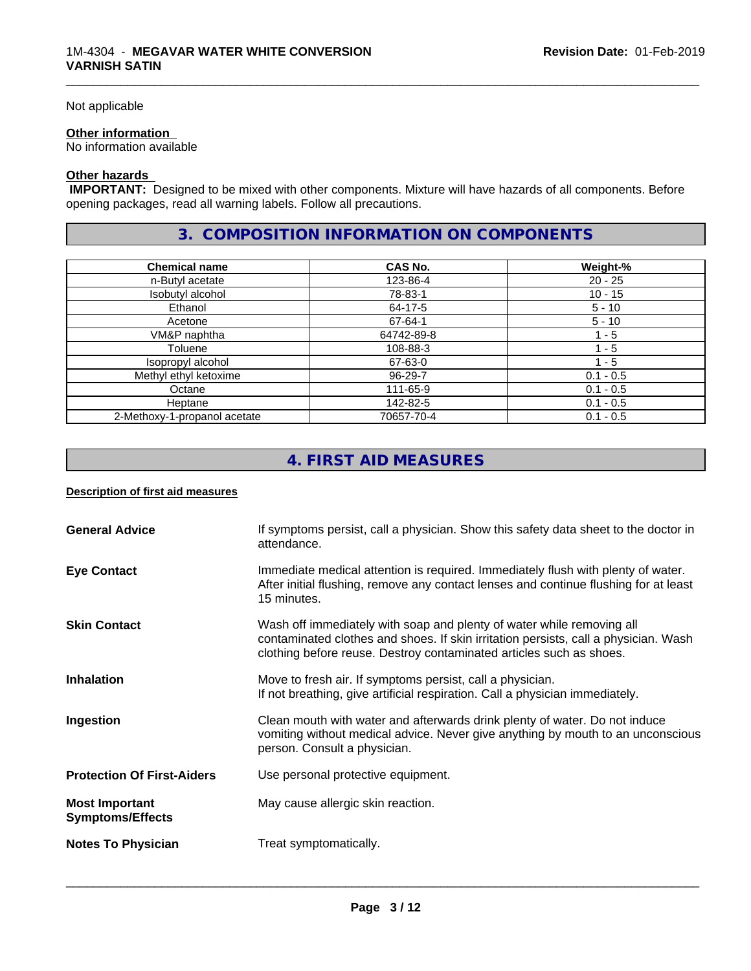#### Not applicable

#### **Other information**

No information available

### **Other hazards**

 **IMPORTANT:** Designed to be mixed with other components. Mixture will have hazards of all components. Before opening packages, read all warning labels. Follow all precautions.

## **3. COMPOSITION INFORMATION ON COMPONENTS**

\_\_\_\_\_\_\_\_\_\_\_\_\_\_\_\_\_\_\_\_\_\_\_\_\_\_\_\_\_\_\_\_\_\_\_\_\_\_\_\_\_\_\_\_\_\_\_\_\_\_\_\_\_\_\_\_\_\_\_\_\_\_\_\_\_\_\_\_\_\_\_\_\_\_\_\_\_\_\_\_\_\_\_\_\_\_\_\_\_\_\_\_\_

| <b>Chemical name</b>         | CAS No.    | Weight-%    |
|------------------------------|------------|-------------|
| n-Butyl acetate              | 123-86-4   | 20 - 25     |
| Isobutyl alcohol             | 78-83-1    | $10 - 15$   |
| Ethanol                      | 64-17-5    | $5 - 10$    |
| Acetone                      | 67-64-1    | $5 - 10$    |
| VM&P naphtha                 | 64742-89-8 | 1 - 5       |
| Toluene                      | 108-88-3   | - 5         |
| Isopropyl alcohol            | 67-63-0    | 1 - 5       |
| Methyl ethyl ketoxime        | 96-29-7    | $0.1 - 0.5$ |
| Octane                       | 111-65-9   | $0.1 - 0.5$ |
| Heptane                      | 142-82-5   | $0.1 - 0.5$ |
| 2-Methoxy-1-propanol acetate | 70657-70-4 | $0.1 - 0.5$ |

## **4. FIRST AID MEASURES**

#### **Description of first aid measures**

| <b>General Advice</b>                            | If symptoms persist, call a physician. Show this safety data sheet to the doctor in<br>attendance.                                                                                                                                  |
|--------------------------------------------------|-------------------------------------------------------------------------------------------------------------------------------------------------------------------------------------------------------------------------------------|
| <b>Eye Contact</b>                               | Immediate medical attention is required. Immediately flush with plenty of water.<br>After initial flushing, remove any contact lenses and continue flushing for at least<br>15 minutes.                                             |
| <b>Skin Contact</b>                              | Wash off immediately with soap and plenty of water while removing all<br>contaminated clothes and shoes. If skin irritation persists, call a physician. Wash<br>clothing before reuse. Destroy contaminated articles such as shoes. |
| <b>Inhalation</b>                                | Move to fresh air. If symptoms persist, call a physician.<br>If not breathing, give artificial respiration. Call a physician immediately.                                                                                           |
| Ingestion                                        | Clean mouth with water and afterwards drink plenty of water. Do not induce<br>vomiting without medical advice. Never give anything by mouth to an unconscious<br>person. Consult a physician.                                       |
| <b>Protection Of First-Aiders</b>                | Use personal protective equipment.                                                                                                                                                                                                  |
| <b>Most Important</b><br><b>Symptoms/Effects</b> | May cause allergic skin reaction.                                                                                                                                                                                                   |
| <b>Notes To Physician</b>                        | Treat symptomatically.                                                                                                                                                                                                              |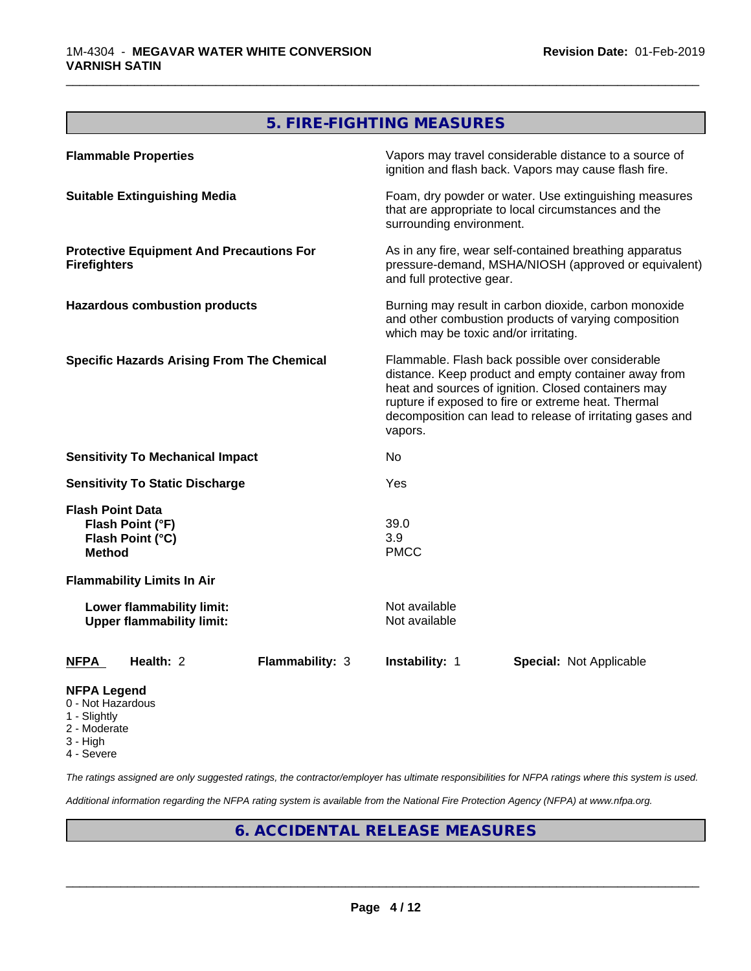## **5. FIRE-FIGHTING MEASURES**

\_\_\_\_\_\_\_\_\_\_\_\_\_\_\_\_\_\_\_\_\_\_\_\_\_\_\_\_\_\_\_\_\_\_\_\_\_\_\_\_\_\_\_\_\_\_\_\_\_\_\_\_\_\_\_\_\_\_\_\_\_\_\_\_\_\_\_\_\_\_\_\_\_\_\_\_\_\_\_\_\_\_\_\_\_\_\_\_\_\_\_\_\_

| <b>Flammable Properties</b>                                                      |                                                               |                        |                                       | Vapors may travel considerable distance to a source of<br>ignition and flash back. Vapors may cause flash fire.                                                                                                                                                                     |  |
|----------------------------------------------------------------------------------|---------------------------------------------------------------|------------------------|---------------------------------------|-------------------------------------------------------------------------------------------------------------------------------------------------------------------------------------------------------------------------------------------------------------------------------------|--|
| <b>Suitable Extinguishing Media</b>                                              |                                                               |                        | surrounding environment.              | Foam, dry powder or water. Use extinguishing measures<br>that are appropriate to local circumstances and the                                                                                                                                                                        |  |
| <b>Firefighters</b>                                                              | <b>Protective Equipment And Precautions For</b>               |                        | and full protective gear.             | As in any fire, wear self-contained breathing apparatus<br>pressure-demand, MSHA/NIOSH (approved or equivalent)                                                                                                                                                                     |  |
|                                                                                  | <b>Hazardous combustion products</b>                          |                        | which may be toxic and/or irritating. | Burning may result in carbon dioxide, carbon monoxide<br>and other combustion products of varying composition                                                                                                                                                                       |  |
|                                                                                  | <b>Specific Hazards Arising From The Chemical</b>             |                        | vapors.                               | Flammable. Flash back possible over considerable<br>distance. Keep product and empty container away from<br>heat and sources of ignition. Closed containers may<br>rupture if exposed to fire or extreme heat. Thermal<br>decomposition can lead to release of irritating gases and |  |
|                                                                                  | <b>Sensitivity To Mechanical Impact</b>                       |                        | No                                    |                                                                                                                                                                                                                                                                                     |  |
| <b>Sensitivity To Static Discharge</b>                                           |                                                               |                        | Yes                                   |                                                                                                                                                                                                                                                                                     |  |
| <b>Flash Point Data</b><br>Flash Point (°F)<br>Flash Point (°C)<br><b>Method</b> |                                                               |                        | 39.0<br>3.9<br><b>PMCC</b>            |                                                                                                                                                                                                                                                                                     |  |
| <b>Flammability Limits In Air</b>                                                |                                                               |                        |                                       |                                                                                                                                                                                                                                                                                     |  |
|                                                                                  | Lower flammability limit:<br><b>Upper flammability limit:</b> |                        | Not available<br>Not available        |                                                                                                                                                                                                                                                                                     |  |
| <b>NFPA</b>                                                                      | Health: 2                                                     | <b>Flammability: 3</b> | Instability: 1                        | <b>Special: Not Applicable</b>                                                                                                                                                                                                                                                      |  |
| <b>NFPA Legend</b>                                                               |                                                               |                        |                                       |                                                                                                                                                                                                                                                                                     |  |

- 0 Not Hazardous
- 1 Slightly
- 2 Moderate
- 3 High
- 4 Severe

*The ratings assigned are only suggested ratings, the contractor/employer has ultimate responsibilities for NFPA ratings where this system is used.*

*Additional information regarding the NFPA rating system is available from the National Fire Protection Agency (NFPA) at www.nfpa.org.*

## **6. ACCIDENTAL RELEASE MEASURES**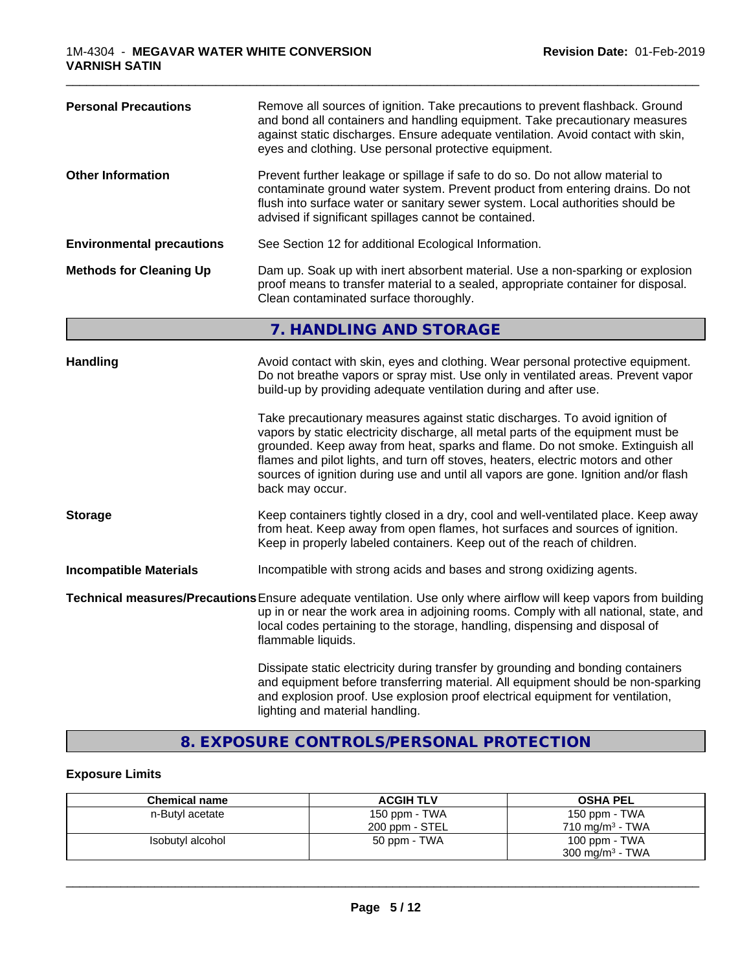| <b>Personal Precautions</b>      | Remove all sources of ignition. Take precautions to prevent flashback. Ground<br>and bond all containers and handling equipment. Take precautionary measures<br>against static discharges. Ensure adequate ventilation. Avoid contact with skin,<br>eyes and clothing. Use personal protective equipment.                                                                                                                                      |
|----------------------------------|------------------------------------------------------------------------------------------------------------------------------------------------------------------------------------------------------------------------------------------------------------------------------------------------------------------------------------------------------------------------------------------------------------------------------------------------|
| <b>Other Information</b>         | Prevent further leakage or spillage if safe to do so. Do not allow material to<br>contaminate ground water system. Prevent product from entering drains. Do not<br>flush into surface water or sanitary sewer system. Local authorities should be<br>advised if significant spillages cannot be contained.                                                                                                                                     |
| <b>Environmental precautions</b> | See Section 12 for additional Ecological Information.                                                                                                                                                                                                                                                                                                                                                                                          |
| <b>Methods for Cleaning Up</b>   | Dam up. Soak up with inert absorbent material. Use a non-sparking or explosion<br>proof means to transfer material to a sealed, appropriate container for disposal.<br>Clean contaminated surface thoroughly.                                                                                                                                                                                                                                  |
|                                  | 7. HANDLING AND STORAGE                                                                                                                                                                                                                                                                                                                                                                                                                        |
| <b>Handling</b>                  | Avoid contact with skin, eyes and clothing. Wear personal protective equipment.<br>Do not breathe vapors or spray mist. Use only in ventilated areas. Prevent vapor<br>build-up by providing adequate ventilation during and after use.                                                                                                                                                                                                        |
|                                  | Take precautionary measures against static discharges. To avoid ignition of<br>vapors by static electricity discharge, all metal parts of the equipment must be<br>grounded. Keep away from heat, sparks and flame. Do not smoke. Extinguish all<br>flames and pilot lights, and turn off stoves, heaters, electric motors and other<br>sources of ignition during use and until all vapors are gone. Ignition and/or flash<br>back may occur. |
| <b>Storage</b>                   | Keep containers tightly closed in a dry, cool and well-ventilated place. Keep away<br>from heat. Keep away from open flames, hot surfaces and sources of ignition.<br>Keep in properly labeled containers. Keep out of the reach of children.                                                                                                                                                                                                  |
| <b>Incompatible Materials</b>    | Incompatible with strong acids and bases and strong oxidizing agents.                                                                                                                                                                                                                                                                                                                                                                          |
|                                  | Technical measures/Precautions Ensure adequate ventilation. Use only where airflow will keep vapors from building<br>up in or near the work area in adjoining rooms. Comply with all national, state, and<br>local codes pertaining to the storage, handling, dispensing and disposal of<br>flammable liquids.                                                                                                                                 |
|                                  | Dissipate static electricity during transfer by grounding and bonding containers<br>and equipment before transferring material. All equipment should be non-sparking<br>and explosion proof. Use explosion proof electrical equipment for ventilation,<br>lighting and material handling.                                                                                                                                                      |

\_\_\_\_\_\_\_\_\_\_\_\_\_\_\_\_\_\_\_\_\_\_\_\_\_\_\_\_\_\_\_\_\_\_\_\_\_\_\_\_\_\_\_\_\_\_\_\_\_\_\_\_\_\_\_\_\_\_\_\_\_\_\_\_\_\_\_\_\_\_\_\_\_\_\_\_\_\_\_\_\_\_\_\_\_\_\_\_\_\_\_\_\_

## **8. EXPOSURE CONTROLS/PERSONAL PROTECTION**

## **Exposure Limits**

| <b>Chemical name</b> | <b>ACGIH TLV</b> | <b>OSHA PEL</b>            |
|----------------------|------------------|----------------------------|
| n-Butyl acetate      | 150 ppm - TWA    | 150 ppm - TWA              |
|                      | 200 ppm - STEL   | $710 \text{ ma/m}^3$ - TWA |
| Isobutyl alcohol     | 50 ppm - TWA     | 100 ppm - TWA              |
|                      |                  | $300 \text{ mg/m}^3$ - TWA |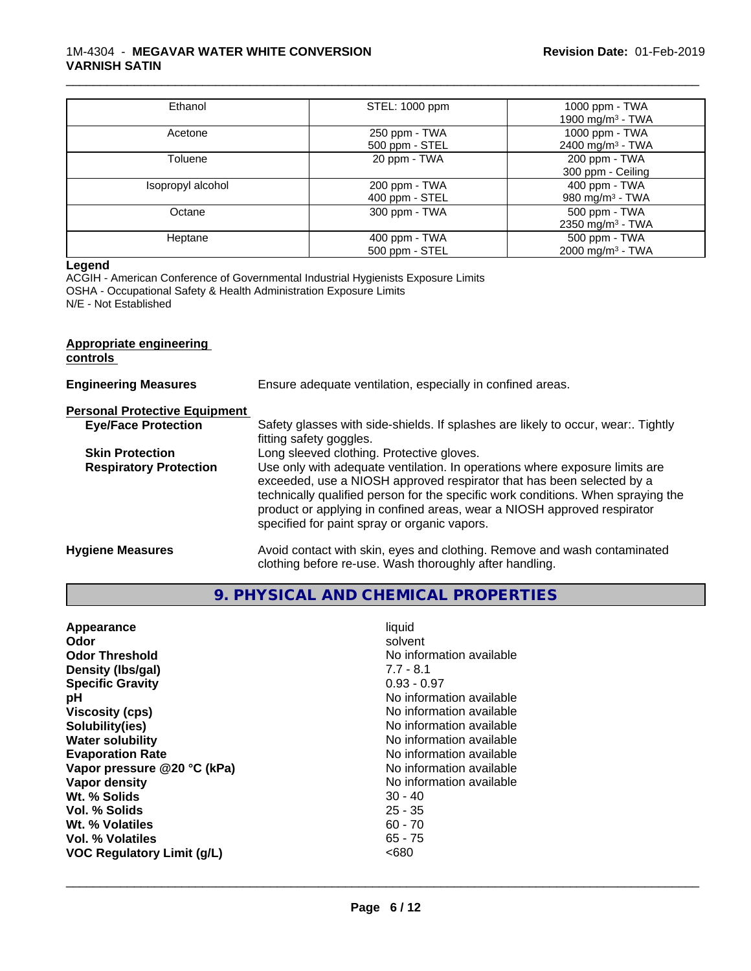#### 1M-4304 - **MEGAVAR WATER WHITE CONVERSION VARNISH SATIN**

| Ethanol           | STEL: 1000 ppm                  | 1000 ppm - TWA<br>1900 mg/m <sup>3</sup> - TWA   |
|-------------------|---------------------------------|--------------------------------------------------|
| Acetone           | 250 ppm - TWA<br>500 ppm - STEL | 1000 ppm - TWA<br>2400 mg/m <sup>3</sup> - TWA   |
| Toluene           | 20 ppm - TWA                    | 200 ppm - TWA<br>300 ppm - Ceiling               |
| Isopropyl alcohol | 200 ppm - TWA<br>400 ppm - STEL | $400$ ppm $-$ TWA<br>980 mg/m <sup>3</sup> - TWA |
| Octane            | 300 ppm - TWA                   | 500 ppm - TWA<br>2350 mg/m <sup>3</sup> - TWA    |
| Heptane           | 400 ppm - TWA<br>500 ppm - STEL | 500 ppm - TWA<br>2000 mg/m <sup>3</sup> - TWA    |

\_\_\_\_\_\_\_\_\_\_\_\_\_\_\_\_\_\_\_\_\_\_\_\_\_\_\_\_\_\_\_\_\_\_\_\_\_\_\_\_\_\_\_\_\_\_\_\_\_\_\_\_\_\_\_\_\_\_\_\_\_\_\_\_\_\_\_\_\_\_\_\_\_\_\_\_\_\_\_\_\_\_\_\_\_\_\_\_\_\_\_\_\_

#### **Legend**

ACGIH - American Conference of Governmental Industrial Hygienists Exposure Limits OSHA - Occupational Safety & Health Administration Exposure Limits N/E - Not Established

## **Appropriate engineering controls Engineering Measures** Ensure adequate ventilation, especially in confined areas. **Personal Protective Equipment**<br> **Eye/Face Protection** Safety glasses with side-shields. If splashes are likely to occur, wear:. Tightly fitting safety goggles. **Skin Protection** Long sleeved clothing. Protective gloves. **Respiratory Protection** Use only with adequate ventilation. In operations where exposure limits are exceeded, use a NIOSH approved respirator that has been selected by a technically qualified person for the specific work conditions. When spraying the product or applying in confined areas, wear a NIOSH approved respirator specified for paint spray or organic vapors. **Hygiene Measures** Avoid contact with skin, eyes and clothing. Remove and wash contaminated clothing before re-use. Wash thoroughly after handling.

**9. PHYSICAL AND CHEMICAL PROPERTIES**

| Appearance                        | liquid                   |
|-----------------------------------|--------------------------|
| Odor                              | solvent                  |
| <b>Odor Threshold</b>             | No information available |
| Density (Ibs/gal)                 | $7.7 - 8.1$              |
| <b>Specific Gravity</b>           | $0.93 - 0.97$            |
| рH                                | No information available |
| <b>Viscosity (cps)</b>            | No information available |
| Solubility(ies)                   | No information available |
| <b>Water solubility</b>           | No information available |
| <b>Evaporation Rate</b>           | No information available |
| Vapor pressure @20 °C (kPa)       | No information available |
| Vapor density                     | No information available |
| Wt. % Solids                      | $30 - 40$                |
| Vol. % Solids                     | $25 - 35$                |
| Wt. % Volatiles                   | $60 - 70$                |
| Vol. % Volatiles                  | 65 - 75                  |
| <b>VOC Regulatory Limit (g/L)</b> | <680                     |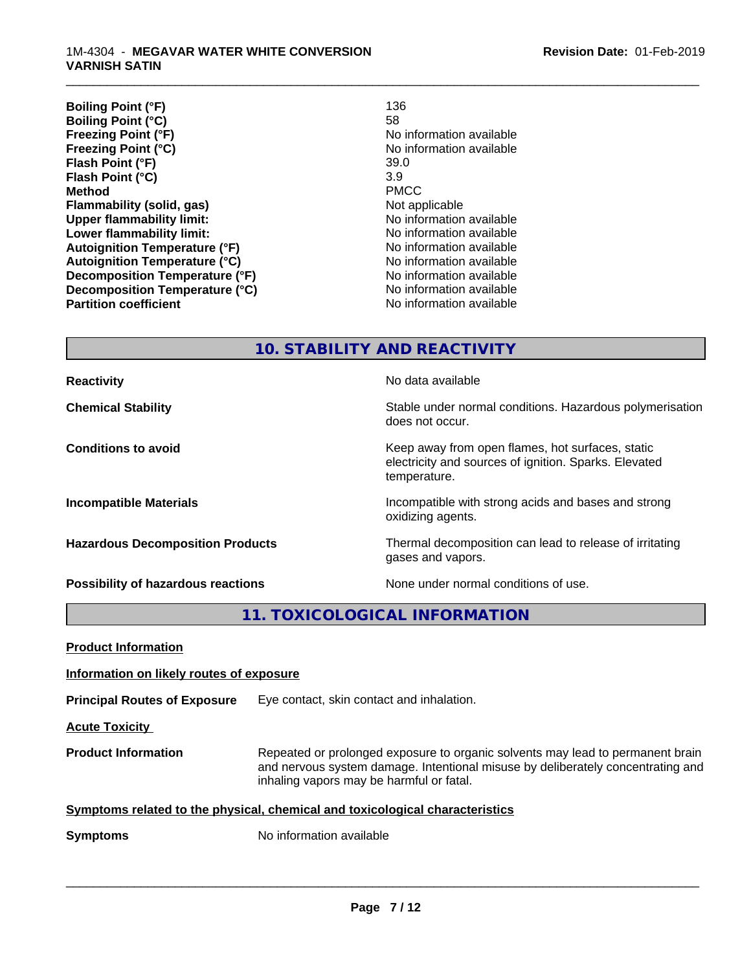| <b>Boiling Point (°F)</b><br>136     |                          |
|--------------------------------------|--------------------------|
| <b>Boiling Point (°C)</b><br>58      |                          |
| Freezing Point (°F)                  | No information available |
| <b>Freezing Point (°C)</b>           | No information available |
| Flash Point (°F)                     | 39.0                     |
| 3.9<br>Flash Point (°C)              |                          |
| <b>Method</b>                        | <b>PMCC</b>              |
| Flammability (solid, gas)            | Not applicable           |
| <b>Upper flammability limit:</b>     | No information available |
| Lower flammability limit:            | No information available |
| <b>Autoignition Temperature (°F)</b> | No information available |
| <b>Autoignition Temperature (°C)</b> | No information available |
| Decomposition Temperature (°F)       | No information available |
| Decomposition Temperature (°C)       | No information available |
| <b>Partition coefficient</b>         | No information available |

\_\_\_\_\_\_\_\_\_\_\_\_\_\_\_\_\_\_\_\_\_\_\_\_\_\_\_\_\_\_\_\_\_\_\_\_\_\_\_\_\_\_\_\_\_\_\_\_\_\_\_\_\_\_\_\_\_\_\_\_\_\_\_\_\_\_\_\_\_\_\_\_\_\_\_\_\_\_\_\_\_\_\_\_\_\_\_\_\_\_\_\_\_

**10. STABILITY AND REACTIVITY**

| <b>Reactivity</b>                         | No data available                                                                                                         |
|-------------------------------------------|---------------------------------------------------------------------------------------------------------------------------|
| <b>Chemical Stability</b>                 | Stable under normal conditions. Hazardous polymerisation<br>does not occur.                                               |
| <b>Conditions to avoid</b>                | Keep away from open flames, hot surfaces, static<br>electricity and sources of ignition. Sparks. Elevated<br>temperature. |
| <b>Incompatible Materials</b>             | Incompatible with strong acids and bases and strong<br>oxidizing agents.                                                  |
| <b>Hazardous Decomposition Products</b>   | Thermal decomposition can lead to release of irritating<br>gases and vapors.                                              |
| <b>Possibility of hazardous reactions</b> | None under normal conditions of use.                                                                                      |

**11. TOXICOLOGICAL INFORMATION**

| <b>Product Information</b>               |                                                                                                                                                                                                               |  |
|------------------------------------------|---------------------------------------------------------------------------------------------------------------------------------------------------------------------------------------------------------------|--|
| Information on likely routes of exposure |                                                                                                                                                                                                               |  |
| <b>Principal Routes of Exposure</b>      | Eye contact, skin contact and inhalation.                                                                                                                                                                     |  |
| <b>Acute Toxicity</b>                    |                                                                                                                                                                                                               |  |
| <b>Product Information</b>               | Repeated or prolonged exposure to organic solvents may lead to permanent brain<br>and nervous system damage. Intentional misuse by deliberately concentrating and<br>inhaling vapors may be harmful or fatal. |  |
|                                          | Symptoms related to the physical, chemical and toxicological characteristics                                                                                                                                  |  |
| <b>Symptoms</b>                          | No information available                                                                                                                                                                                      |  |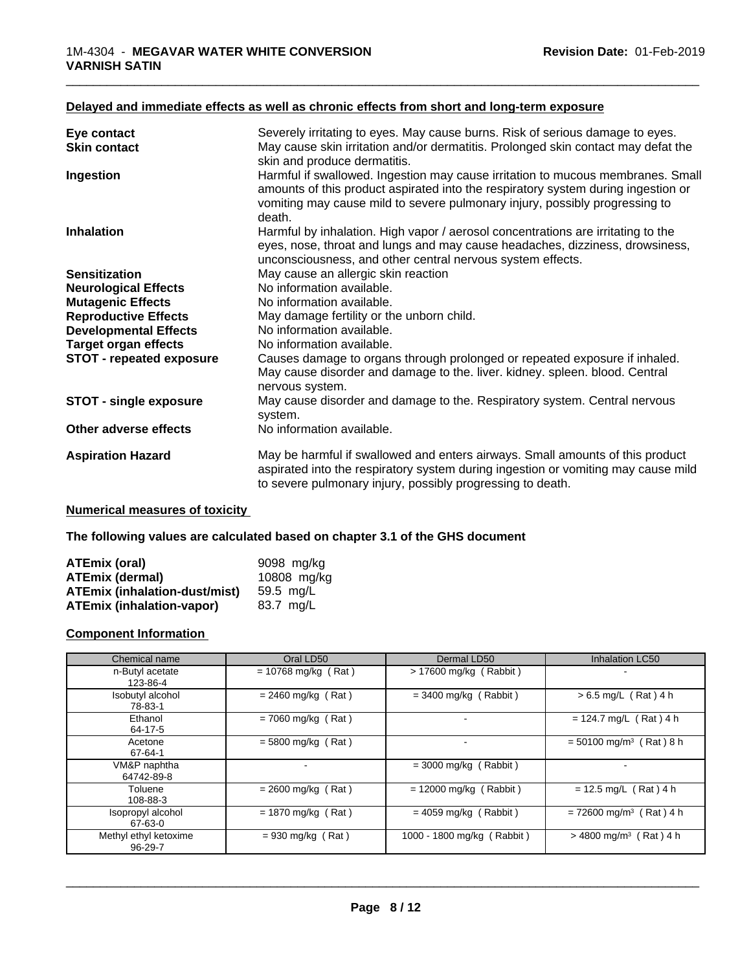#### **Delayed and immediate effects as well as chronic effects from short and long-term exposure**

| Eye contact                     | Severely irritating to eyes. May cause burns. Risk of serious damage to eyes.                                                                                                                                                                                 |
|---------------------------------|---------------------------------------------------------------------------------------------------------------------------------------------------------------------------------------------------------------------------------------------------------------|
| <b>Skin contact</b>             | May cause skin irritation and/or dermatitis. Prolonged skin contact may defat the<br>skin and produce dermatitis.                                                                                                                                             |
| Ingestion                       | Harmful if swallowed. Ingestion may cause irritation to mucous membranes. Small<br>amounts of this product aspirated into the respiratory system during ingestion or<br>vomiting may cause mild to severe pulmonary injury, possibly progressing to<br>death. |
| <b>Inhalation</b>               | Harmful by inhalation. High vapor / aerosol concentrations are irritating to the<br>eyes, nose, throat and lungs and may cause headaches, dizziness, drowsiness,<br>unconsciousness, and other central nervous system effects.                                |
| <b>Sensitization</b>            | May cause an allergic skin reaction                                                                                                                                                                                                                           |
| <b>Neurological Effects</b>     | No information available.                                                                                                                                                                                                                                     |
| <b>Mutagenic Effects</b>        | No information available.                                                                                                                                                                                                                                     |
| <b>Reproductive Effects</b>     | May damage fertility or the unborn child.                                                                                                                                                                                                                     |
| <b>Developmental Effects</b>    | No information available.                                                                                                                                                                                                                                     |
| <b>Target organ effects</b>     | No information available.                                                                                                                                                                                                                                     |
| <b>STOT - repeated exposure</b> | Causes damage to organs through prolonged or repeated exposure if inhaled.<br>May cause disorder and damage to the. liver. kidney. spleen. blood. Central<br>nervous system.                                                                                  |
| <b>STOT - single exposure</b>   | May cause disorder and damage to the. Respiratory system. Central nervous<br>system.                                                                                                                                                                          |
| Other adverse effects           | No information available.                                                                                                                                                                                                                                     |
| <b>Aspiration Hazard</b>        | May be harmful if swallowed and enters airways. Small amounts of this product<br>aspirated into the respiratory system during ingestion or vomiting may cause mild<br>to severe pulmonary injury, possibly progressing to death.                              |

#### **Numerical measures of toxicity**

#### **The following values are calculated based on chapter 3.1 of the GHS document**

| ATEmix (oral)                        | 9098 mg/ka  |
|--------------------------------------|-------------|
| <b>ATEmix (dermal)</b>               | 10808 mg/kg |
| <b>ATEmix (inhalation-dust/mist)</b> | 59.5 ma/L   |
| <b>ATEmix (inhalation-vapor)</b>     | 83.7 mg/L   |

### **Component Information**

| Chemical name                    | Oral LD50             | Dermal LD50                | <b>Inhalation LC50</b>                |
|----------------------------------|-----------------------|----------------------------|---------------------------------------|
| n-Butyl acetate<br>123-86-4      | $= 10768$ mg/kg (Rat) | $> 17600$ mg/kg (Rabbit)   |                                       |
| Isobutyl alcohol<br>78-83-1      | $= 2460$ mg/kg (Rat)  | $=$ 3400 mg/kg (Rabbit)    | $> 6.5$ mg/L (Rat) 4 h                |
| Ethanol<br>64-17-5               | $= 7060$ mg/kg (Rat)  |                            | $= 124.7$ mg/L (Rat) 4 h              |
| Acetone<br>67-64-1               | $= 5800$ mg/kg (Rat)  |                            | $= 50100$ mg/m <sup>3</sup> (Rat) 8 h |
| VM&P naphtha<br>64742-89-8       |                       | $=$ 3000 mg/kg (Rabbit)    |                                       |
| Toluene<br>108-88-3              | $= 2600$ mg/kg (Rat)  | $= 12000$ mg/kg (Rabbit)   | $= 12.5$ mg/L (Rat) 4 h               |
| Isopropyl alcohol<br>67-63-0     | $= 1870$ mg/kg (Rat)  | $= 4059$ mg/kg (Rabbit)    | $= 72600$ mg/m <sup>3</sup> (Rat) 4 h |
| Methyl ethyl ketoxime<br>96-29-7 | $= 930$ mg/kg (Rat)   | 1000 - 1800 mg/kg (Rabbit) | $>$ 4800 mg/m <sup>3</sup> (Rat) 4 h  |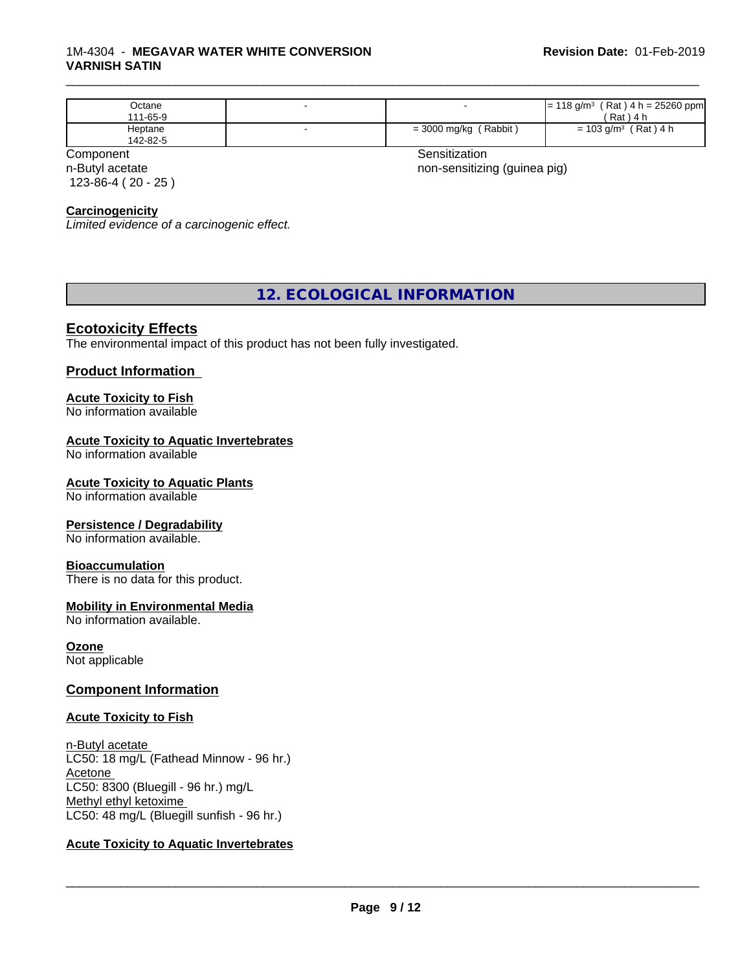#### 1M-4304 - **MEGAVAR WATER WHITE CONVERSION VARNISH SATIN**

| Octane<br>111-65-9  |                                    | $(Rat)$ 4 h = 25260 ppm<br>⊧18 g/m <sup>3</sup><br>'≕<br>$'$ Rat)<br>) 4 h                   |
|---------------------|------------------------------------|----------------------------------------------------------------------------------------------|
| Heptane<br>142-82-5 | (Rabbit<br>$= 3000$ mg/kg $\prime$ | $'$ Rat) 4 h<br>$\stackrel{\scriptscriptstyle >}{\scriptscriptstyle \sim} 103$ g/m $^3$<br>= |

n-Butyl acetate 123-86-4 ( 20 - 25 )

Component **Sensitization** 

\_\_\_\_\_\_\_\_\_\_\_\_\_\_\_\_\_\_\_\_\_\_\_\_\_\_\_\_\_\_\_\_\_\_\_\_\_\_\_\_\_\_\_\_\_\_\_\_\_\_\_\_\_\_\_\_\_\_\_\_\_\_\_\_\_\_\_\_\_\_\_\_\_\_\_\_\_\_\_\_\_\_\_\_\_\_\_\_\_\_\_\_\_

non-sensitizing (guinea pig)

### **Carcinogenicity**

*Limited evidence of a carcinogenic effect.*

## **12. ECOLOGICAL INFORMATION**

#### **Ecotoxicity Effects**

The environmental impact of this product has not been fully investigated.

### **Product Information**

### **Acute Toxicity to Fish**

No information available

#### **Acute Toxicity to Aquatic Invertebrates**

No information available

#### **Acute Toxicity to Aquatic Plants**

No information available

#### **Persistence / Degradability**

No information available.

#### **Bioaccumulation**

There is no data for this product.

### **Mobility in Environmental Media**

No information available.

**Ozone** Not applicable

#### **Component Information**

#### **Acute Toxicity to Fish**

n-Butyl acetate LC50: 18 mg/L (Fathead Minnow - 96 hr.) Acetone LC50: 8300 (Bluegill - 96 hr.) mg/L Methyl ethyl ketoxime LC50: 48 mg/L (Bluegill sunfish - 96 hr.)

### **Acute Toxicity to Aquatic Invertebrates**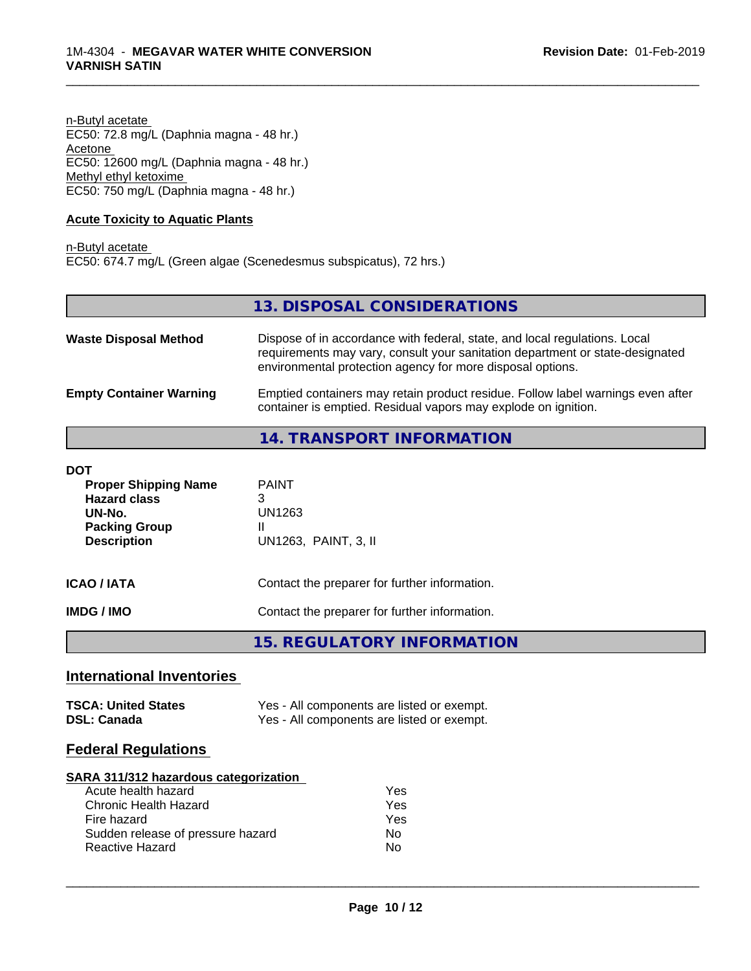n-Butyl acetate EC50: 72.8 mg/L (Daphnia magna - 48 hr.) Acetone EC50: 12600 mg/L (Daphnia magna - 48 hr.) Methyl ethyl ketoxime EC50: 750 mg/L (Daphnia magna - 48 hr.)

### **Acute Toxicity to Aquatic Plants**

n-Butyl acetate EC50: 674.7 mg/L (Green algae (Scenedesmus subspicatus), 72 hrs.)

|                                | 13. DISPOSAL CONSIDERATIONS                                                                                                                                                                                               |
|--------------------------------|---------------------------------------------------------------------------------------------------------------------------------------------------------------------------------------------------------------------------|
| <b>Waste Disposal Method</b>   | Dispose of in accordance with federal, state, and local regulations. Local<br>requirements may vary, consult your sanitation department or state-designated<br>environmental protection agency for more disposal options. |
| <b>Empty Container Warning</b> | Emptied containers may retain product residue. Follow label warnings even after<br>container is emptied. Residual vapors may explode on ignition.                                                                         |
|                                | 14. TRANSPORT INFORMATION                                                                                                                                                                                                 |

\_\_\_\_\_\_\_\_\_\_\_\_\_\_\_\_\_\_\_\_\_\_\_\_\_\_\_\_\_\_\_\_\_\_\_\_\_\_\_\_\_\_\_\_\_\_\_\_\_\_\_\_\_\_\_\_\_\_\_\_\_\_\_\_\_\_\_\_\_\_\_\_\_\_\_\_\_\_\_\_\_\_\_\_\_\_\_\_\_\_\_\_\_

| DOT<br><b>Proper Shipping Name</b><br><b>Hazard class</b><br>UN-No.<br><b>Packing Group</b><br><b>Description</b> | <b>PAINT</b><br>3<br>UN1263<br>Ш<br>UN1263, PAINT, 3, II |
|-------------------------------------------------------------------------------------------------------------------|----------------------------------------------------------|
| ICAO / IATA                                                                                                       | Contact the preparer for further information.            |
| IMDG / IMO                                                                                                        | Contact the preparer for further information.            |

**15. REGULATORY INFORMATION**

## **International Inventories**

| <b>TSCA: United States</b> | Yes - All components are listed or exempt. |
|----------------------------|--------------------------------------------|
| <b>DSL: Canada</b>         | Yes - All components are listed or exempt. |

## **Federal Regulations**

#### **SARA 311/312 hazardous categorization**

| Acute health hazard               | Yes |
|-----------------------------------|-----|
| Chronic Health Hazard             | Yes |
| Fire hazard                       | Yes |
| Sudden release of pressure hazard | Nο  |
| Reactive Hazard                   | N٥  |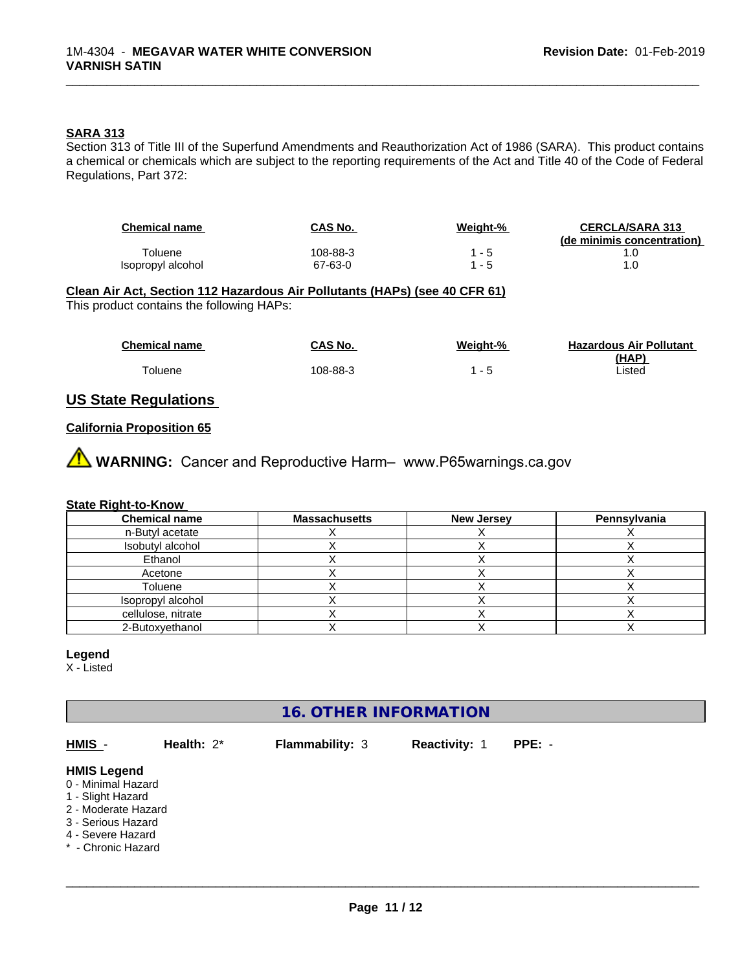#### **SARA 313**

Section 313 of Title III of the Superfund Amendments and Reauthorization Act of 1986 (SARA). This product contains a chemical or chemicals which are subject to the reporting requirements of the Act and Title 40 of the Code of Federal Regulations, Part 372:

| <b>Chemical name</b> | CAS No.  | <u>Weight-%</u> | <b>CERCLA/SARA 313</b><br>(de minimis concentration) |
|----------------------|----------|-----------------|------------------------------------------------------|
| Гoluene              | 108-88-3 | - 5             |                                                      |
| Isopropyl alcohol    | 67-63-0  | - 5             |                                                      |

\_\_\_\_\_\_\_\_\_\_\_\_\_\_\_\_\_\_\_\_\_\_\_\_\_\_\_\_\_\_\_\_\_\_\_\_\_\_\_\_\_\_\_\_\_\_\_\_\_\_\_\_\_\_\_\_\_\_\_\_\_\_\_\_\_\_\_\_\_\_\_\_\_\_\_\_\_\_\_\_\_\_\_\_\_\_\_\_\_\_\_\_\_

# **Clean Air Act,Section 112 Hazardous Air Pollutants (HAPs) (see 40 CFR 61)**

This product contains the following HAPs:

| <b>Chemical name</b> | CAS No.  | Weight-%                 | <b>Hazardous Air Pollutant</b> |
|----------------------|----------|--------------------------|--------------------------------|
|                      |          |                          | (HAP)                          |
| <sup>-</sup> oluene  | 108-88-3 | $\overline{\phantom{a}}$ | _isted                         |

### **US State Regulations**

#### **California Proposition 65**

**A** WARNING: Cancer and Reproductive Harm– www.P65warnings.ca.gov

#### **State Right-to-Know**

| <b>Chemical name</b> | <b>Massachusetts</b> | <b>New Jersey</b> | Pennsylvania |
|----------------------|----------------------|-------------------|--------------|
| n-Butyl acetate      |                      |                   |              |
| Isobutyl alcohol     |                      |                   |              |
| Ethanol              |                      |                   |              |
| Acetone              |                      |                   |              |
| Toluene              |                      |                   |              |
| Isopropyl alcohol    |                      |                   |              |
| cellulose, nitrate   |                      |                   |              |
| 2-Butoxyethanol      |                      |                   |              |

#### **Legend**

X - Listed

## **16. OTHER INFORMATION**

**HMIS** - **Health:** 2\* **Flammability:** 3 **Reactivity:** 1 **PPE:** - **HMIS Legend** 0 - Minimal Hazard

- 1 Slight Hazard
- 2 Moderate Hazard
- 3 Serious Hazard
- 4 Severe Hazard
- \* Chronic Hazard